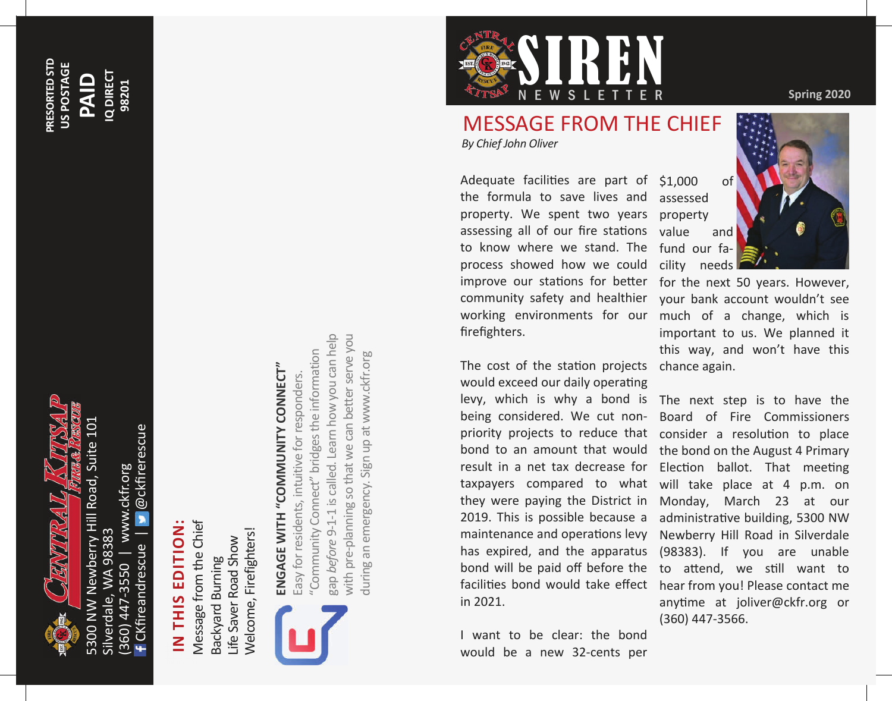

@ckfirerescue CKfireandrescue | @ckfirerescue (360) 447-3550 | www.ckfr.org www.ckfr.org Silverdale, WA 98383 Silverdale, WA 98383 CKfireandrescue 447-3550  $(360)$ 

#### **PRESORTED STD**  PRESORTED STD US POSTAGE **US POSTAGE Q DIREC PAID**

**IQ DIRECT 98201**

## **IN THIS EDITION:**  IN THIS EDITION

Message from the Chief Message from the Chief Welcome, Firefighters! Welcome, Firefighters! Life Saver Road Show Life Saver Road Show Backyard Burning Backyard Burning



# **ENGAGE WITH "COMMUNITY CONNECT"**  ENGAGE WITH "COMMUNITY CONNECT"

gap *before* 9-1-1 is called. Learn how you can help with pre-planning so that we can better serve you gap before 9-1-1 is called. Learn how you can help with pre-planning so that we can better serve you "Community Connect" bridges the information "Community Connect" bridges the information during an emergency. Sign up at www.ckfr.org during an emergency. Sign up at www.ckfr.org Easy for residents, intuitive for responders. Easy for residents, intuitive for responders.



### MESSAGE FROM THE CHIEF

*By Chief John Oliver* 

Adequate facilities are part of \$1,000 of the formula to save lives and assessed property. We spent two years assessing all of our fire stations to know where we stand. The fund our faprocess showed how we could cility needs improve our stations for better for the next 50 years. However, community safety and healthier your bank account wouldn't see working environments for our much of a change, which is firefighters.

The cost of the station projects chance again. would exceed our daily operating in 2021.

I want to be clear: the bond would be a new 32-cents per

### property value and



important to us. We planned it this way, and won't have this

levy, which is why a bond is The next step is to have the being considered. We cut non-Board of Fire Commissioners priority projects to reduce that consider a resolution to place bond to an amount that would the bond on the August 4 Primary result in a net tax decrease for Election ballot. That meeting taxpayers compared to what will take place at 4 p.m. on they were paying the District in Monday, March 23 at our 2019. This is possible because a administrative building, 5300 NW maintenance and operations levy Newberry Hill Road in Silverdale has expired, and the apparatus (98383). If you are unable bond will be paid off before the to attend, we still want to facilities bond would take effect hear from you! Please contact me anytime at joliver@ckfr.org or (360) 447-3566.

**Spring 2020**